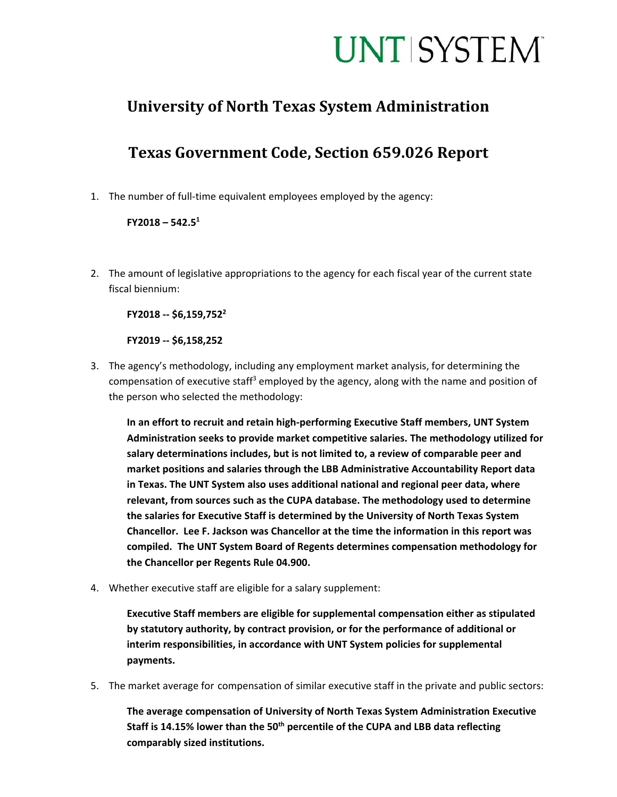## **UNT SYSTEM**

### **University of North Texas System Administration**

## **Texas Government Code, Section 659.026 Report**

1. The number of full-time equivalent employees employed by the agency:

#### **FY2018 – 542.51**

2. The amount of legislative appropriations to the agency for each fiscal year of the current state fiscal biennium:

**FY2018 ‐‐ \$6,159,7522**

**FY2019 ‐‐ \$6,158,252** 

3. The agency's methodology, including any employment market analysis, for determining the compensation of executive staff<sup>3</sup> employed by the agency, along with the name and position of the person who selected the methodology:

**In an effort to recruit and retain high‐performing Executive Staff members, UNT System Administration seeks to provide market competitive salaries. The methodology utilized for salary determinations includes, but is not limited to, a review of comparable peer and market positions and salaries through the LBB Administrative Accountability Report data in Texas. The UNT System also uses additional national and regional peer data, where relevant, from sources such as the CUPA database. The methodology used to determine the salaries for Executive Staff is determined by the University of North Texas System Chancellor. Lee F. Jackson was Chancellor at the time the information in this report was compiled. The UNT System Board of Regents determines compensation methodology for the Chancellor per Regents Rule 04.900.** 

4. Whether executive staff are eligible for a salary supplement:

**Executive Staff members are eligible for supplemental compensation either as stipulated by statutory authority, by contract provision, or for the performance of additional or interim responsibilities, in accordance with UNT System policies for supplemental payments.** 

5. The market average for compensation of similar executive staff in the private and public sectors:

**The average compensation of University of North Texas System Administration Executive**  Staff is 14.15% lower than the 50<sup>th</sup> percentile of the CUPA and LBB data reflecting **comparably sized institutions.**